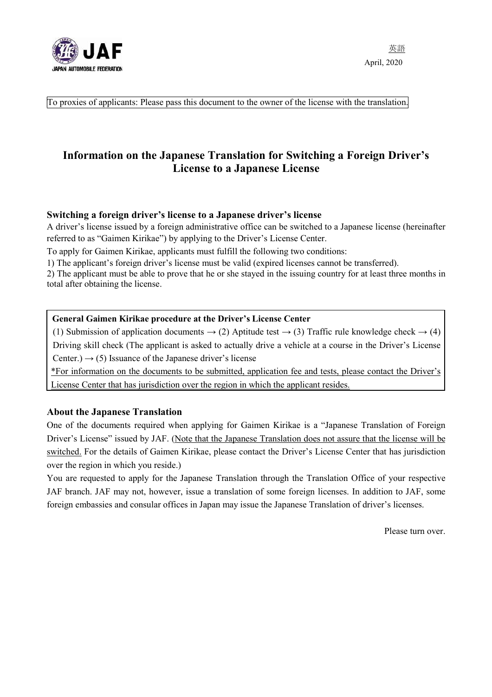

To proxies of applicants: Please pass this document to the owner of the license with the translation.

# **Information on the Japanese Translation for Switching a Foreign Driver's License to a Japanese License**

# **Switching a foreign driver's license to a Japanese driver's license**

A driver's license issued by a foreign administrative office can be switched to a Japanese license (hereinafter referred to as "Gaimen Kirikae") by applying to the Driver's License Center.

To apply for Gaimen Kirikae, applicants must fulfill the following two conditions:

1) The applicant's foreign driver's license must be valid (expired licenses cannot be transferred).

2) The applicant must be able to prove that he or she stayed in the issuing country for at least three months in total after obtaining the license.

#### **General Gaimen Kirikae procedure at the Driver's License Center**

(1) Submission of application documents  $\rightarrow$  (2) Aptitude test  $\rightarrow$  (3) Traffic rule knowledge check  $\rightarrow$  (4) Driving skill check (The applicant is asked to actually drive a vehicle at a course in the Driver's License Center.)  $\rightarrow$  (5) Issuance of the Japanese driver's license

\*For information on the documents to be submitted, application fee and tests, please contact the Driver's License Center that has jurisdiction over the region in which the applicant resides.

## **About the Japanese Translation**

One of the documents required when applying for Gaimen Kirikae is a "Japanese Translation of Foreign Driver's License" issued by JAF. (Note that the Japanese Translation does not assure that the license will be switched. For the details of Gaimen Kirikae, please contact the Driver's License Center that has jurisdiction over the region in which you reside.)

You are requested to apply for the Japanese Translation through the Translation Office of your respective JAF branch. JAF may not, however, issue a translation of some foreign licenses. In addition to JAF, some foreign embassies and consular offices in Japan may issue the Japanese Translation of driver's licenses.

Please turn over.